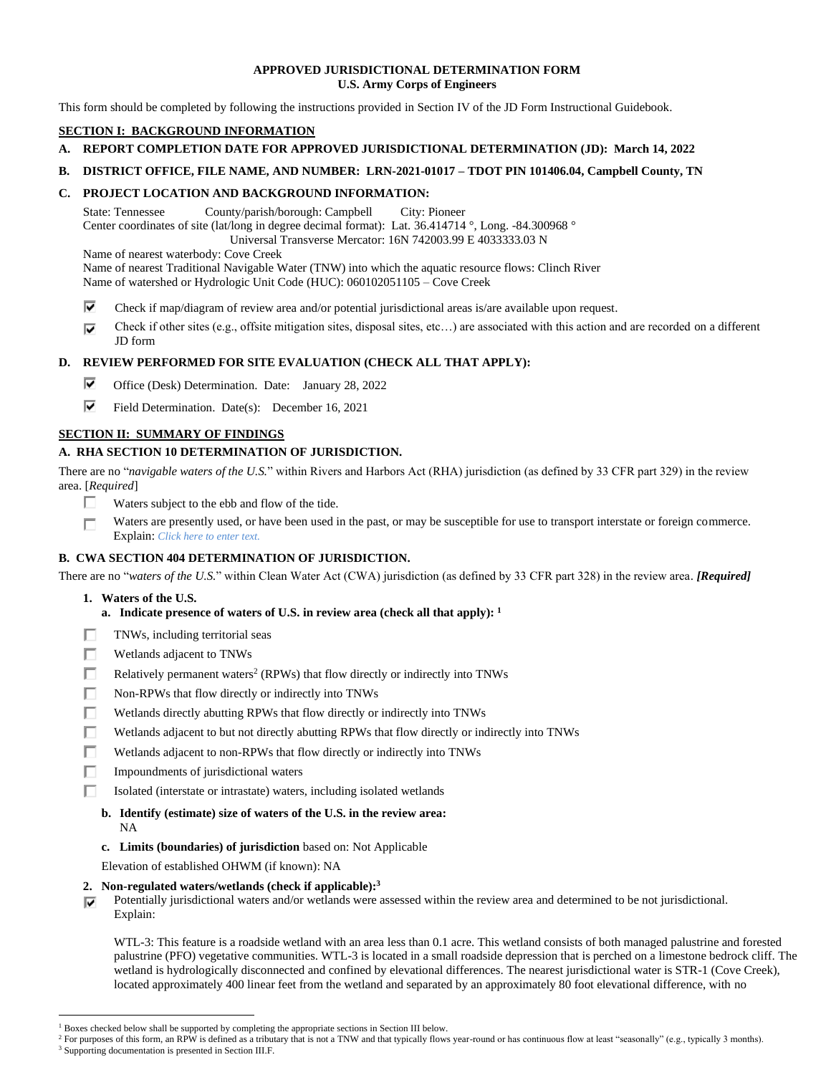# **APPROVED JURISDICTIONAL DETERMINATION FORM U.S. Army Corps of Engineers**

This form should be completed by following the instructions provided in Section IV of the JD Form Instructional Guidebook.

# **SECTION I: BACKGROUND INFORMATION**

- **A. REPORT COMPLETION DATE FOR APPROVED JURISDICTIONAL DETERMINATION (JD): March 14, 2022**
- **B. DISTRICT OFFICE, FILE NAME, AND NUMBER: LRN-2021-01017 – TDOT PIN 101406.04, Campbell County, TN**

# **C. PROJECT LOCATION AND BACKGROUND INFORMATION:**

State: Tennessee County/parish/borough: Campbell City: Pioneer Center coordinates of site (lat/long in degree decimal format): Lat. 36.414714 °, Long. -84.300968 ° Universal Transverse Mercator: 16N 742003.99 E 4033333.03 N

Name of nearest waterbody: Cove Creek

Name of nearest Traditional Navigable Water (TNW) into which the aquatic resource flows: Clinch River

Name of watershed or Hydrologic Unit Code (HUC): 060102051105 – Cove Creek

- ⊽ Check if map/diagram of review area and/or potential jurisdictional areas is/are available upon request.
- Check if other sites (e.g., offsite mitigation sites, disposal sites, etc…) are associated with this action and are recorded on a different ⊽ JD form

# **D. REVIEW PERFORMED FOR SITE EVALUATION (CHECK ALL THAT APPLY):**

- ⊽ Office (Desk) Determination. Date: January 28, 2022
- ⊽ Field Determination. Date(s): December 16, 2021

# **SECTION II: SUMMARY OF FINDINGS**

# **A. RHA SECTION 10 DETERMINATION OF JURISDICTION.**

There are no "*navigable waters of the U.S.*" within Rivers and Harbors Act (RHA) jurisdiction (as defined by 33 CFR part 329) in the review area. [*Required*]

- п. Waters subject to the ebb and flow of the tide.
- Waters are presently used, or have been used in the past, or may be susceptible for use to transport interstate or foreign commerce. п Explain: *Click here to enter text.*

# **B. CWA SECTION 404 DETERMINATION OF JURISDICTION.**

There are no "*waters of the U.S.*" within Clean Water Act (CWA) jurisdiction (as defined by 33 CFR part 328) in the review area. *[Required]*

- **1. Waters of the U.S.**
	- **a. Indicate presence of waters of U.S. in review area (check all that apply): 1**
- П TNWs, including territorial seas
- П. Wetlands adjacent to TNWs
- П. Relatively permanent waters<sup>2</sup> (RPWs) that flow directly or indirectly into TNWs
- П. Non-RPWs that flow directly or indirectly into TNWs
- п. Wetlands directly abutting RPWs that flow directly or indirectly into TNWs
- П Wetlands adjacent to but not directly abutting RPWs that flow directly or indirectly into TNWs
- П. Wetlands adjacent to non-RPWs that flow directly or indirectly into TNWs
- П. Impoundments of jurisdictional waters
- П. Isolated (interstate or intrastate) waters, including isolated wetlands
	- **b. Identify (estimate) size of waters of the U.S. in the review area:**
		- NA
	- **c. Limits (boundaries) of jurisdiction** based on: Not Applicable

Elevation of established OHWM (if known): NA

- **2. Non-regulated waters/wetlands (check if applicable): 3**
- Potentially jurisdictional waters and/or wetlands were assessed within the review area and determined to be not jurisdictional. ⊽ Explain:

WTL-3: This feature is a roadside wetland with an area less than 0.1 acre. This wetland consists of both managed palustrine and forested palustrine (PFO) vegetative communities. WTL-3 is located in a small roadside depression that is perched on a limestone bedrock cliff. The wetland is hydrologically disconnected and confined by elevational differences. The nearest jurisdictional water is STR-1 (Cove Creek), located approximately 400 linear feet from the wetland and separated by an approximately 80 foot elevational difference, with no

<sup>&</sup>lt;sup>1</sup> Boxes checked below shall be supported by completing the appropriate sections in Section III below.

<sup>&</sup>lt;sup>2</sup> For purposes of this form, an RPW is defined as a tributary that is not a TNW and that typically flows year-round or has continuous flow at least "seasonally" (e.g., typically 3 months). <sup>3</sup> Supporting documentation is presented in Section III.F.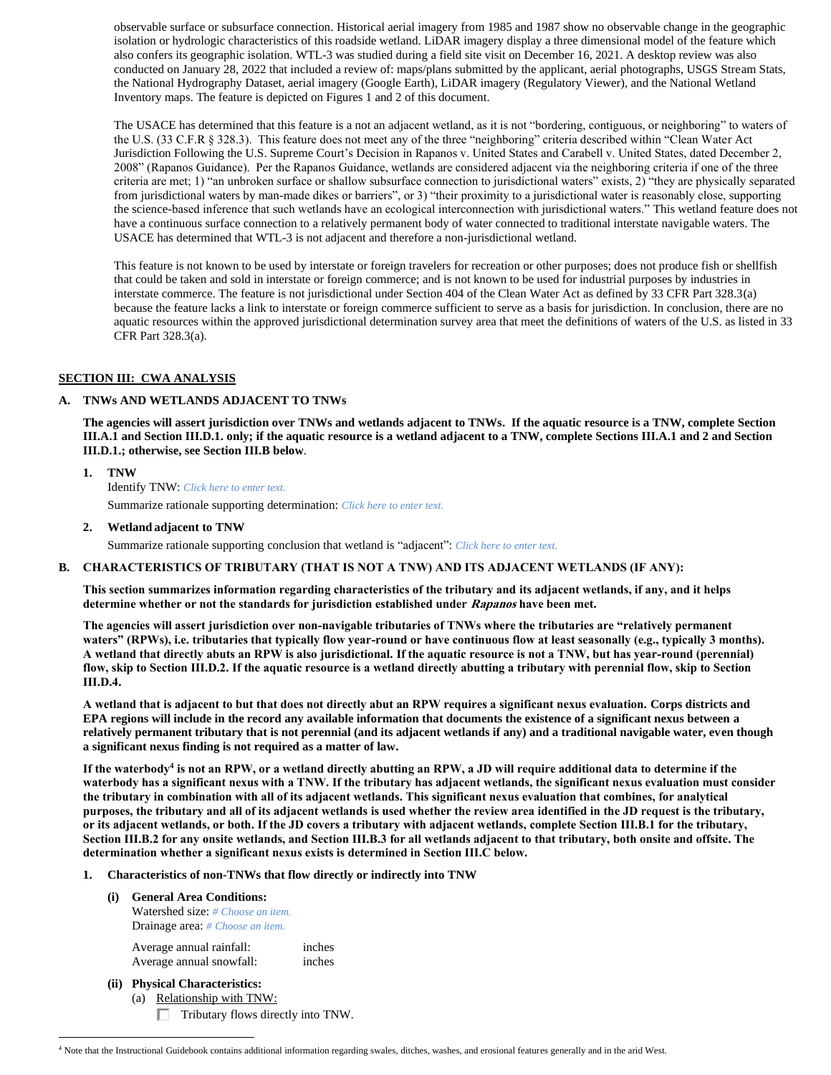observable surface or subsurface connection. Historical aerial imagery from 1985 and 1987 show no observable change in the geographic isolation or hydrologic characteristics of this roadside wetland. LiDAR imagery display a three dimensional model of the feature which also confers its geographic isolation. WTL-3 was studied during a field site visit on December 16, 2021. A desktop review was also conducted on January 28, 2022 that included a review of: maps/plans submitted by the applicant, aerial photographs, USGS Stream Stats, the National Hydrography Dataset, aerial imagery (Google Earth), LiDAR imagery (Regulatory Viewer), and the National Wetland Inventory maps. The feature is depicted on Figures 1 and 2 of this document.

The USACE has determined that this feature is a not an adjacent wetland, as it is not "bordering, contiguous, or neighboring" to waters of the U.S. (33 C.F.R § 328.3). This feature does not meet any of the three "neighboring" criteria described within "Clean Water Act Jurisdiction Following the U.S. Supreme Court's Decision in Rapanos v. United States and Carabell v. United States, dated December 2, 2008" (Rapanos Guidance). Per the Rapanos Guidance, wetlands are considered adjacent via the neighboring criteria if one of the three criteria are met; 1) "an unbroken surface or shallow subsurface connection to jurisdictional waters" exists, 2) "they are physically separated from jurisdictional waters by man-made dikes or barriers", or 3) "their proximity to a jurisdictional water is reasonably close, supporting the science-based inference that such wetlands have an ecological interconnection with jurisdictional waters." This wetland feature does not have a continuous surface connection to a relatively permanent body of water connected to traditional interstate navigable waters. The USACE has determined that WTL-3 is not adjacent and therefore a non-jurisdictional wetland.

This feature is not known to be used by interstate or foreign travelers for recreation or other purposes; does not produce fish or shellfish that could be taken and sold in interstate or foreign commerce; and is not known to be used for industrial purposes by industries in interstate commerce. The feature is not jurisdictional under Section 404 of the Clean Water Act as defined by 33 CFR Part 328.3(a) because the feature lacks a link to interstate or foreign commerce sufficient to serve as a basis for jurisdiction. In conclusion, there are no aquatic resources within the approved jurisdictional determination survey area that meet the definitions of waters of the U.S. as listed in 33 CFR Part 328.3(a).

# **SECTION III: CWA ANALYSIS**

# **A. TNWs AND WETLANDS ADJACENT TO TNWs**

**The agencies will assert jurisdiction over TNWs and wetlands adjacent to TNWs. If the aquatic resource is a TNW, complete Section III.A.1 and Section III.D.1. only; if the aquatic resource is a wetland adjacent to a TNW, complete Sections III.A.1 and 2 and Section III.D.1.; otherwise, see Section III.B below**.

**1. TNW**  Identify TNW: *Click here to enter text.*

Summarize rationale supporting determination: *Click here to enter text.*

**2. Wetland adjacent to TNW**

Summarize rationale supporting conclusion that wetland is "adjacent": *Click here to enter text.*

## **B. CHARACTERISTICS OF TRIBUTARY (THAT IS NOT A TNW) AND ITS ADJACENT WETLANDS (IF ANY):**

**This section summarizes information regarding characteristics of the tributary and its adjacent wetlands, if any, and it helps determine whether or not the standards for jurisdiction established under Rapanos have been met.** 

**The agencies will assert jurisdiction over non-navigable tributaries of TNWs where the tributaries are "relatively permanent waters" (RPWs), i.e. tributaries that typically flow year-round or have continuous flow at least seasonally (e.g., typically 3 months). A wetland that directly abuts an RPW is also jurisdictional. If the aquatic resource is not a TNW, but has year-round (perennial) flow, skip to Section III.D.2. If the aquatic resource is a wetland directly abutting a tributary with perennial flow, skip to Section III.D.4.**

**A wetland that is adjacent to but that does not directly abut an RPW requires a significant nexus evaluation. Corps districts and EPA regions will include in the record any available information that documents the existence of a significant nexus between a relatively permanent tributary that is not perennial (and its adjacent wetlands if any) and a traditional navigable water, even though a significant nexus finding is not required as a matter of law.**

**If the waterbody<sup>4</sup> is not an RPW, or a wetland directly abutting an RPW, a JD will require additional data to determine if the waterbody has a significant nexus with a TNW. If the tributary has adjacent wetlands, the significant nexus evaluation must consider the tributary in combination with all of its adjacent wetlands. This significant nexus evaluation that combines, for analytical purposes, the tributary and all of its adjacent wetlands is used whether the review area identified in the JD request is the tributary, or its adjacent wetlands, or both. If the JD covers a tributary with adjacent wetlands, complete Section III.B.1 for the tributary, Section III.B.2 for any onsite wetlands, and Section III.B.3 for all wetlands adjacent to that tributary, both onsite and offsite. The determination whether a significant nexus exists is determined in Section III.C below.**

# **1. Characteristics of non-TNWs that flow directly or indirectly into TNW**

# **(i) General Area Conditions:**

Watershed size: *# Choose an item.* Drainage area: *# Choose an item.*

Average annual rainfall: inches Average annual snowfall: inches

**(ii) Physical Characteristics:**

(a) Relationship with TNW: Tributary flows directly into TNW.

<sup>&</sup>lt;sup>4</sup> Note that the Instructional Guidebook contains additional information regarding swales, ditches, washes, and erosional features generally and in the arid West.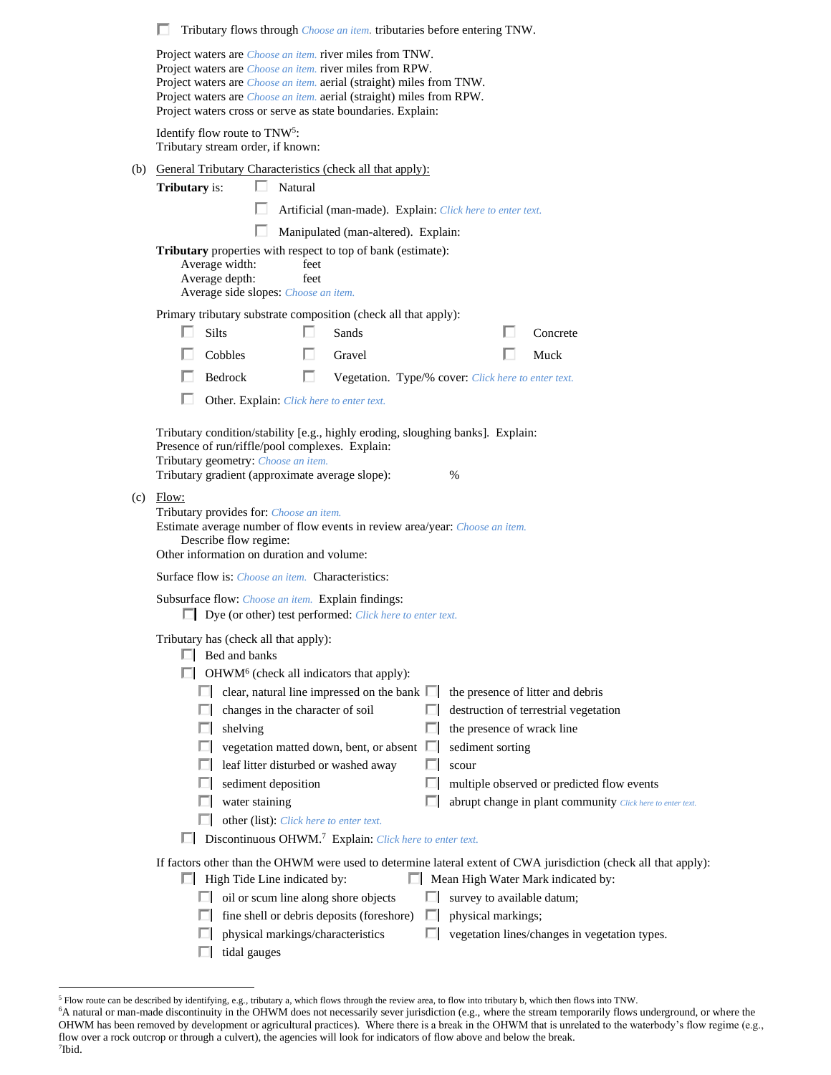|     | Tributary flows through <i>Choose an item</i> . tributaries before entering TNW.<br>ш                                                                                                                                                                                                                                                                                                                                                                                                                                                                                                                                                                                                                                                                  |
|-----|--------------------------------------------------------------------------------------------------------------------------------------------------------------------------------------------------------------------------------------------------------------------------------------------------------------------------------------------------------------------------------------------------------------------------------------------------------------------------------------------------------------------------------------------------------------------------------------------------------------------------------------------------------------------------------------------------------------------------------------------------------|
|     | Project waters are <i>Choose an item</i> . river miles from TNW.<br>Project waters are <i>Choose an item</i> , river miles from RPW.<br>Project waters are <i>Choose an item.</i> aerial (straight) miles from TNW.<br>Project waters are <i>Choose an item.</i> aerial (straight) miles from RPW.<br>Project waters cross or serve as state boundaries. Explain:                                                                                                                                                                                                                                                                                                                                                                                      |
|     | Identify flow route to TNW <sup>5</sup> :<br>Tributary stream order, if known:                                                                                                                                                                                                                                                                                                                                                                                                                                                                                                                                                                                                                                                                         |
| (b) | General Tributary Characteristics (check all that apply):                                                                                                                                                                                                                                                                                                                                                                                                                                                                                                                                                                                                                                                                                              |
|     | ш<br>Natural<br><b>Tributary</b> is:                                                                                                                                                                                                                                                                                                                                                                                                                                                                                                                                                                                                                                                                                                                   |
|     | Artificial (man-made). Explain: Click here to enter text.                                                                                                                                                                                                                                                                                                                                                                                                                                                                                                                                                                                                                                                                                              |
|     | п<br>Manipulated (man-altered). Explain:                                                                                                                                                                                                                                                                                                                                                                                                                                                                                                                                                                                                                                                                                                               |
|     | <b>Tributary</b> properties with respect to top of bank (estimate):<br>Average width:<br>feet<br>Average depth:<br>feet<br>Average side slopes: Choose an item.                                                                                                                                                                                                                                                                                                                                                                                                                                                                                                                                                                                        |
|     | Primary tributary substrate composition (check all that apply):                                                                                                                                                                                                                                                                                                                                                                                                                                                                                                                                                                                                                                                                                        |
|     | <b>Silts</b><br>Sands<br>Concrete                                                                                                                                                                                                                                                                                                                                                                                                                                                                                                                                                                                                                                                                                                                      |
|     | Cobbles<br>п<br>Muck<br>Gravel                                                                                                                                                                                                                                                                                                                                                                                                                                                                                                                                                                                                                                                                                                                         |
|     | п<br>Bedrock<br>Vegetation. Type/% cover: Click here to enter text.                                                                                                                                                                                                                                                                                                                                                                                                                                                                                                                                                                                                                                                                                    |
|     | H<br>Other. Explain: Click here to enter text.                                                                                                                                                                                                                                                                                                                                                                                                                                                                                                                                                                                                                                                                                                         |
|     | Tributary condition/stability [e.g., highly eroding, sloughing banks]. Explain:<br>Presence of run/riffle/pool complexes. Explain:<br>Tributary geometry: Choose an item.<br>Tributary gradient (approximate average slope):<br>%<br>$(c)$ Flow:<br>Tributary provides for: Choose an item.<br>Estimate average number of flow events in review area/year: Choose an item.                                                                                                                                                                                                                                                                                                                                                                             |
|     | Describe flow regime:<br>Other information on duration and volume:                                                                                                                                                                                                                                                                                                                                                                                                                                                                                                                                                                                                                                                                                     |
|     | Surface flow is: <i>Choose an item.</i> Characteristics:                                                                                                                                                                                                                                                                                                                                                                                                                                                                                                                                                                                                                                                                                               |
|     | Subsurface flow: Choose an item. Explain findings:<br>$\Box$ Dye (or other) test performed: <i>Click here to enter text.</i>                                                                                                                                                                                                                                                                                                                                                                                                                                                                                                                                                                                                                           |
|     | Tributary has (check all that apply):<br>$\Box$ Bed and banks<br>$\Box$ OHWM <sup>6</sup> (check all indicators that apply):<br>clear, natural line impressed on the bank $\Box$<br>the presence of litter and debris<br>changes in the character of soil<br>destruction of terrestrial vegetation<br>shelving<br>the presence of wrack line<br>ш<br>vegetation matted down, bent, or absent $\Box$<br>sediment sorting<br>leaf litter disturbed or washed away<br>scour<br>sediment deposition<br>multiple observed or predicted flow events<br>water staining<br>abrupt change in plant community Click here to enter text.<br>other (list): Click here to enter text.<br>$\Box$ Discontinuous OHWM. <sup>7</sup> Explain: Click here to enter text. |
|     | If factors other than the OHWM were used to determine lateral extent of CWA jurisdiction (check all that apply):<br>$\Box$ High Tide Line indicated by:<br>Mean High Water Mark indicated by:<br>ш<br>oil or scum line along shore objects<br>survey to available datum;<br>fine shell or debris deposits (foreshore)<br>physical markings;<br>ш<br>physical markings/characteristics<br>vegetation lines/changes in vegetation types.<br>tidal gauges                                                                                                                                                                                                                                                                                                 |

<sup>5</sup> Flow route can be described by identifying, e.g., tributary a, which flows through the review area, to flow into tributary b, which then flows into TNW.

<sup>&</sup>lt;sup>6</sup>A natural or man-made discontinuity in the OHWM does not necessarily sever jurisdiction (e.g., where the stream temporarily flows underground, or where the OHWM has been removed by development or agricultural practices). Where there is a break in the OHWM that is unrelated to the waterbody's flow regime (e.g., flow over a rock outcrop or through a culvert), the agencies will look for indicators of flow above and below the break. 7 Ibid.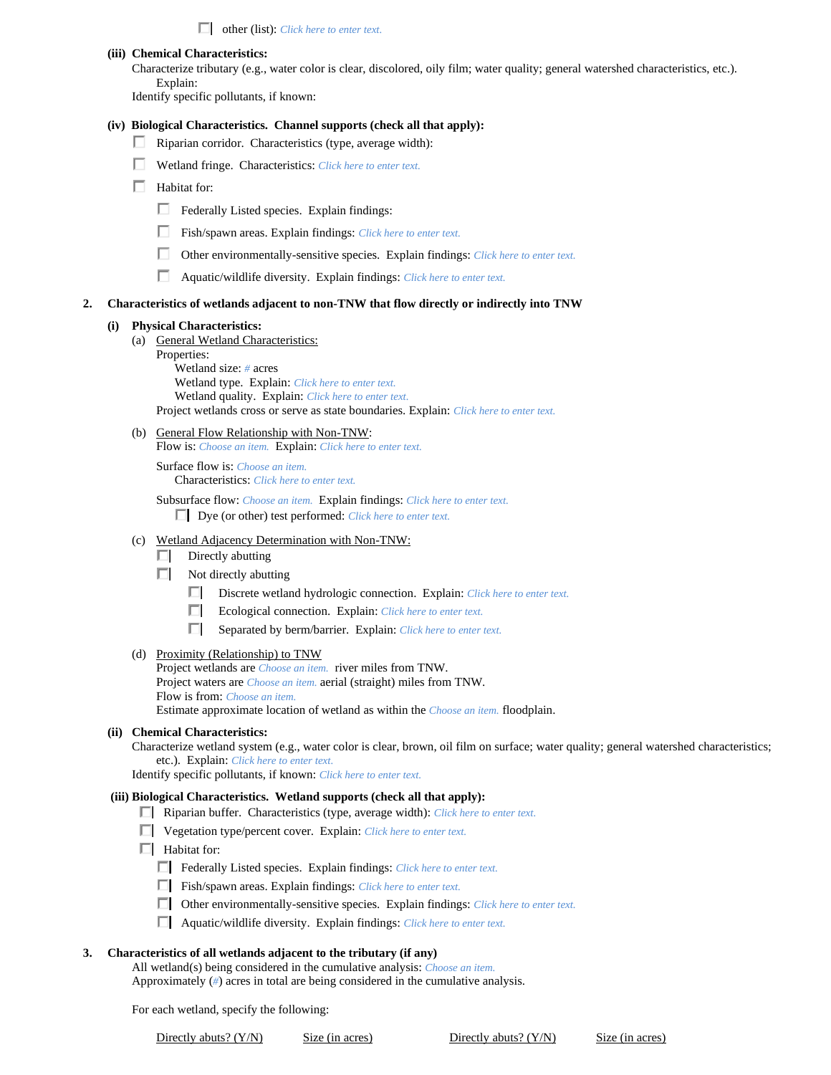other (list): *Click here to enter text.*

**(iii) Chemical Characteristics:**

Characterize tributary (e.g., water color is clear, discolored, oily film; water quality; general watershed characteristics, etc.). Explain:

Identify specific pollutants, if known:

#### **(iv) Biological Characteristics. Channel supports (check all that apply):**

- $\Box$  Riparian corridor. Characteristics (type, average width):
- Wetland fringe. Characteristics: *Click here to enter text.*
- $\Box$  Habitat for:
	- Federally Listed species. Explain findings:
	- Fish/spawn areas. Explain findings: *Click here to enter text.*
	- Other environmentally-sensitive species. Explain findings: *Click here to enter text.*
	- Aquatic/wildlife diversity. Explain findings: *Click here to enter text.*

#### **2. Characteristics of wetlands adjacent to non-TNW that flow directly or indirectly into TNW**

#### **(i) Physical Characteristics:**

- (a) General Wetland Characteristics:
	- Properties:

Wetland size: *#* acres Wetland type. Explain: *Click here to enter text.* Wetland quality. Explain: *Click here to enter text.* Project wetlands cross or serve as state boundaries. Explain: *Click here to enter text.*

(b) General Flow Relationship with Non-TNW:

Flow is: *Choose an item.* Explain: *Click here to enter text.*

Surface flow is: *Choose an item.* Characteristics: *Click here to enter text.*

Subsurface flow: *Choose an item.* Explain findings: *Click here to enter text.* Dye (or other) test performed: *Click here to enter text.*

- (c) Wetland Adjacency Determination with Non-TNW:
	- $\Box$  Directly abutting
	- $\Box$  Not directly abutting
		- Discrete wetland hydrologic connection. Explain: *Click here to enter text.*
		- Ecological connection. Explain: *Click here to enter text*.
		- Separated by berm/barrier. Explain: *Click here to enter text.*

#### (d) Proximity (Relationship) to TNW

Project wetlands are *Choose an item.* river miles from TNW. Project waters are *Choose an item.* aerial (straight) miles from TNW. Flow is from: *Choose an item.* Estimate approximate location of wetland as within the *Choose an item.* floodplain.

### **(ii) Chemical Characteristics:**

Characterize wetland system (e.g., water color is clear, brown, oil film on surface; water quality; general watershed characteristics; etc.). Explain: *Click here to enter text.*

Identify specific pollutants, if known: *Click here to enter text.*

#### **(iii) Biological Characteristics. Wetland supports (check all that apply):**

- Riparian buffer. Characteristics (type, average width): *Click here to enter text.*
- Vegetation type/percent cover. Explain: *Click here to enter text.*
- $\Box$  Habitat for:
	- Federally Listed species. Explain findings: *Click here to enter text*.
	- Fish/spawn areas. Explain findings: *Click here to enter text*.
	- Other environmentally-sensitive species. Explain findings: *Click here to enter text.*
	- Aquatic/wildlife diversity. Explain findings: *Click here to enter text.*

### **3. Characteristics of all wetlands adjacent to the tributary (if any)**

All wetland(s) being considered in the cumulative analysis: *Choose an item.* Approximately (*#*) acres in total are being considered in the cumulative analysis.

For each wetland, specify the following:

Directly abuts? (Y/N) Size (in acres) Directly abuts? (Y/N) Size (in acres)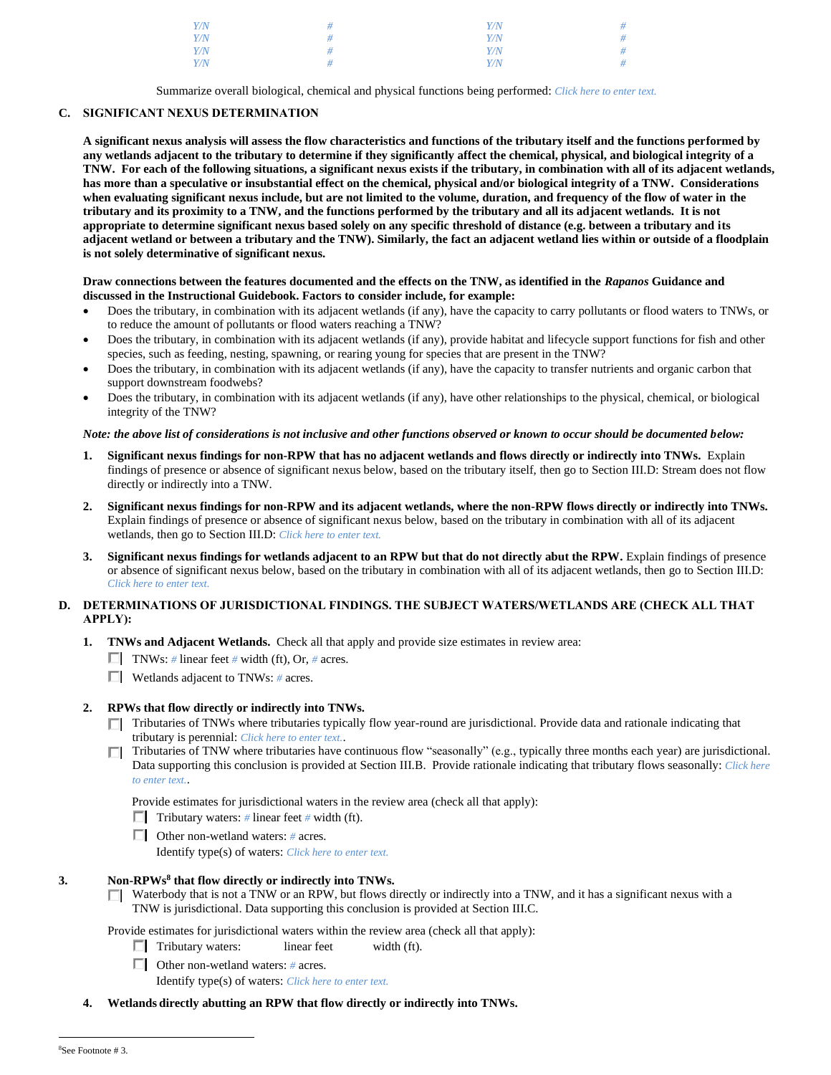| $Y\!/\!N$ |   | Y/N | # |
|-----------|---|-----|---|
| Y/N       | # | Y/N | # |
| Y/N       | Ħ | Y/N | # |
| Y/N       | Ħ | Y/N | # |

Summarize overall biological, chemical and physical functions being performed: *Click here to enter text.*

# **C. SIGNIFICANT NEXUS DETERMINATION**

**A significant nexus analysis will assess the flow characteristics and functions of the tributary itself and the functions performed by any wetlands adjacent to the tributary to determine if they significantly affect the chemical, physical, and biological integrity of a TNW. For each of the following situations, a significant nexus exists if the tributary, in combination with all of its adjacent wetlands, has more than a speculative or insubstantial effect on the chemical, physical and/or biological integrity of a TNW. Considerations when evaluating significant nexus include, but are not limited to the volume, duration, and frequency of the flow of water in the tributary and its proximity to a TNW, and the functions performed by the tributary and all its adjacent wetlands. It is not appropriate to determine significant nexus based solely on any specific threshold of distance (e.g. between a tributary and its adjacent wetland or between a tributary and the TNW). Similarly, the fact an adjacent wetland lies within or outside of a floodplain is not solely determinative of significant nexus.** 

### **Draw connections between the features documented and the effects on the TNW, as identified in the** *Rapanos* **Guidance and discussed in the Instructional Guidebook. Factors to consider include, for example:**

- Does the tributary, in combination with its adjacent wetlands (if any), have the capacity to carry pollutants or flood waters to TNWs, or to reduce the amount of pollutants or flood waters reaching a TNW?
- Does the tributary, in combination with its adjacent wetlands (if any), provide habitat and lifecycle support functions for fish and other species, such as feeding, nesting, spawning, or rearing young for species that are present in the TNW?
- Does the tributary, in combination with its adjacent wetlands (if any), have the capacity to transfer nutrients and organic carbon that support downstream foodwebs?
- Does the tributary, in combination with its adjacent wetlands (if any), have other relationships to the physical, chemical, or biological integrity of the TNW?

### *Note: the above list of considerations is not inclusive and other functions observed or known to occur should be documented below:*

- **1. Significant nexus findings for non-RPW that has no adjacent wetlands and flows directly or indirectly into TNWs.** Explain findings of presence or absence of significant nexus below, based on the tributary itself, then go to Section III.D: Stream does not flow directly or indirectly into a TNW.
- **2. Significant nexus findings for non-RPW and its adjacent wetlands, where the non-RPW flows directly or indirectly into TNWs.**  Explain findings of presence or absence of significant nexus below, based on the tributary in combination with all of its adjacent wetlands, then go to Section III.D: *Click here to enter text.*
- **3. Significant nexus findings for wetlands adjacent to an RPW but that do not directly abut the RPW.** Explain findings of presence or absence of significant nexus below, based on the tributary in combination with all of its adjacent wetlands, then go to Section III.D: *Click here to enter text.*

## **D. DETERMINATIONS OF JURISDICTIONAL FINDINGS. THE SUBJECT WATERS/WETLANDS ARE (CHECK ALL THAT APPLY):**

- **1. TNWs and Adjacent Wetlands.** Check all that apply and provide size estimates in review area:
	- **TNWs:** # linear feet # width (ft), Or, # acres.
	- Wetlands adjacent to TNWs: *#* acres.

### **2. RPWs that flow directly or indirectly into TNWs.**

- Tributaries of TNWs where tributaries typically flow year-round are jurisdictional. Provide data and rationale indicating that tributary is perennial: *Click here to enter text.*.
- $\Box$  Tributaries of TNW where tributaries have continuous flow "seasonally" (e.g., typically three months each year) are jurisdictional. Data supporting this conclusion is provided at Section III.B. Provide rationale indicating that tributary flows seasonally: *Click here to enter text.*.

Provide estimates for jurisdictional waters in the review area (check all that apply):

- **Tributary waters:** # linear feet # width (ft).
- Other non-wetland waters: *#* acres.

Identify type(s) of waters: *Click here to enter text.*

## **3. Non-RPWs<sup>8</sup> that flow directly or indirectly into TNWs.**

 $\Box$  Waterbody that is not a TNW or an RPW, but flows directly or indirectly into a TNW, and it has a significant nexus with a TNW is jurisdictional. Data supporting this conclusion is provided at Section III.C.

Provide estimates for jurisdictional waters within the review area (check all that apply):

- $\Box$  Tributary waters: linear feet width (ft).
- Other non-wetland waters: *#* acres.

Identify type(s) of waters: *Click here to enter text.*

**4. Wetlands directly abutting an RPW that flow directly or indirectly into TNWs.**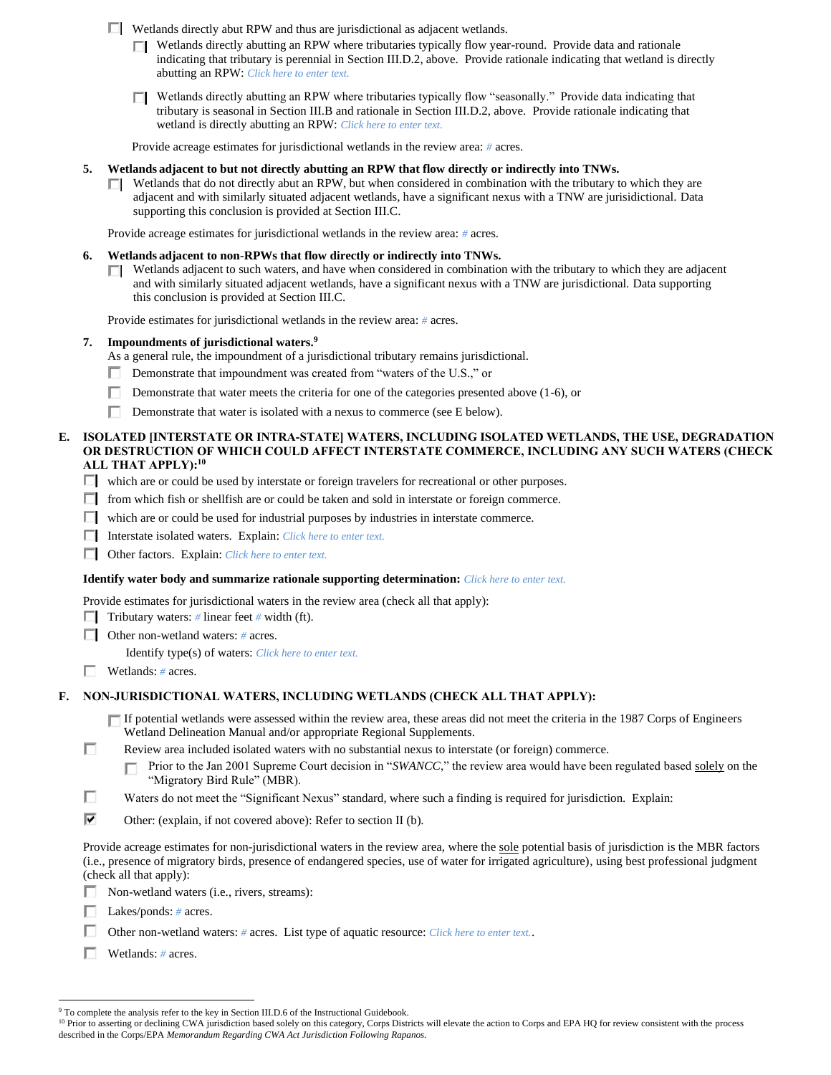- Wetlands directly abut RPW and thus are jurisdictional as adjacent wetlands.
	- $\Box$  Wetlands directly abutting an RPW where tributaries typically flow year-round. Provide data and rationale indicating that tributary is perennial in Section III.D.2, above. Provide rationale indicating that wetland is directly abutting an RPW: *Click here to enter text.*
	- Wetlands directly abutting an RPW where tributaries typically flow "seasonally." Provide data indicating that tributary is seasonal in Section III.B and rationale in Section III.D.2, above. Provide rationale indicating that wetland is directly abutting an RPW: *Click here to enter text.*

Provide acreage estimates for jurisdictional wetlands in the review area: *#* acres.

- **5. Wetlands adjacent to but not directly abutting an RPW that flow directly or indirectly into TNWs.**
	- $\Box$  Wetlands that do not directly abut an RPW, but when considered in combination with the tributary to which they are adjacent and with similarly situated adjacent wetlands, have a significant nexus with a TNW are jurisidictional. Data supporting this conclusion is provided at Section III.C.

Provide acreage estimates for jurisdictional wetlands in the review area: *#* acres.

### **6. Wetlands adjacent to non-RPWs that flow directly or indirectly into TNWs.**

 $\Box$  Wetlands adjacent to such waters, and have when considered in combination with the tributary to which they are adjacent and with similarly situated adjacent wetlands, have a significant nexus with a TNW are jurisdictional. Data supporting this conclusion is provided at Section III.C.

Provide estimates for jurisdictional wetlands in the review area: *#* acres.

**7. Impoundments of jurisdictional waters. 9**

As a general rule, the impoundment of a jurisdictional tributary remains jurisdictional.

- Demonstrate that impoundment was created from "waters of the U.S.," or п.
- П. Demonstrate that water meets the criteria for one of the categories presented above (1-6), or
- П Demonstrate that water is isolated with a nexus to commerce (see E below).

### **E. ISOLATED [INTERSTATE OR INTRA-STATE] WATERS, INCLUDING ISOLATED WETLANDS, THE USE, DEGRADATION OR DESTRUCTION OF WHICH COULD AFFECT INTERSTATE COMMERCE, INCLUDING ANY SUCH WATERS (CHECK ALL THAT APPLY):<sup>10</sup>**

- which are or could be used by interstate or foreign travelers for recreational or other purposes.
- $\Box$  from which fish or shellfish are or could be taken and sold in interstate or foreign commerce.
- $\Box$  which are or could be used for industrial purposes by industries in interstate commerce.
- Interstate isolated waters.Explain: *Click here to enter text.*
- Other factors.Explain: *Click here to enter text.*

#### **Identify water body and summarize rationale supporting determination:** *Click here to enter text.*

- Provide estimates for jurisdictional waters in the review area (check all that apply):
- **Tributary waters:** # linear feet # width (ft).
- Other non-wetland waters: *#* acres.

Identify type(s) of waters: *Click here to enter text.*

Wetlands: *#* acres.

### **F. NON-JURISDICTIONAL WATERS, INCLUDING WETLANDS (CHECK ALL THAT APPLY):**

- If potential wetlands were assessed within the review area, these areas did not meet the criteria in the 1987 Corps of Engineers Wetland Delineation Manual and/or appropriate Regional Supplements.
- П Review area included isolated waters with no substantial nexus to interstate (or foreign) commerce.
	- Prior to the Jan 2001 Supreme Court decision in "*SWANCC*," the review area would have been regulated based solely on the П "Migratory Bird Rule" (MBR).
- П Waters do not meet the "Significant Nexus" standard, where such a finding is required for jurisdiction. Explain:
- ⊽ Other: (explain, if not covered above): Refer to section II (b).

Provide acreage estimates for non-jurisdictional waters in the review area, where the sole potential basis of jurisdiction is the MBR factors (i.e., presence of migratory birds, presence of endangered species, use of water for irrigated agriculture), using best professional judgment (check all that apply):

- $\Box$  Non-wetland waters (i.e., rivers, streams):
- Lakes/ponds: *#* acres.
- Other non-wetland waters: *#* acres. List type of aquatic resource: *Click here to enter text.*.
- Wetlands: *#* acres.

<sup>&</sup>lt;sup>9</sup> To complete the analysis refer to the key in Section III.D.6 of the Instructional Guidebook.

<sup>&</sup>lt;sup>10</sup> Prior to asserting or declining CWA jurisdiction based solely on this category, Corps Districts will elevate the action to Corps and EPA HQ for review consistent with the process described in the Corps/EPA *Memorandum Regarding CWA Act Jurisdiction Following Rapanos.*